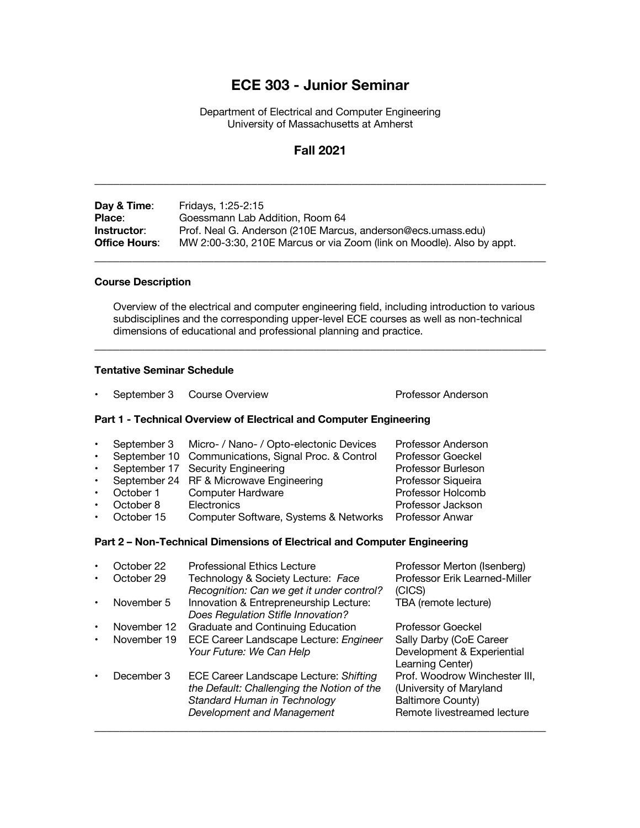# **ECE 303 - Junior Seminar**

Department of Electrical and Computer Engineering University of Massachusetts at Amherst

## **Fall 2021**

\_\_\_\_\_\_\_\_\_\_\_\_\_\_\_\_\_\_\_\_\_\_\_\_\_\_\_\_\_\_\_\_\_\_\_\_\_\_\_\_\_\_\_\_\_\_\_\_\_\_\_\_\_\_\_\_\_\_\_\_\_\_\_\_\_\_\_\_\_\_\_\_

| Day & Time:          | Fridays, 1:25-2:15                                                    |
|----------------------|-----------------------------------------------------------------------|
| Place:               | Goessmann Lab Addition, Room 64                                       |
| Instructor:          | Prof. Neal G. Anderson (210E Marcus, anderson@ecs.umass.edu)          |
| <b>Office Hours:</b> | MW 2:00-3:30, 210E Marcus or via Zoom (link on Moodle). Also by appt. |
|                      |                                                                       |

### **Course Description**

Overview of the electrical and computer engineering field, including introduction to various subdisciplines and the corresponding upper-level ECE courses as well as non-technical dimensions of educational and professional planning and practice.

\_\_\_\_\_\_\_\_\_\_\_\_\_\_\_\_\_\_\_\_\_\_\_\_\_\_\_\_\_\_\_\_\_\_\_\_\_\_\_\_\_\_\_\_\_\_\_\_\_\_\_\_\_\_\_\_\_\_\_\_\_\_\_\_\_\_\_\_\_\_\_\_

#### **Tentative Seminar Schedule**

• September 3 Course Overview **Professor Anderson** 

### **Part 1 - Technical Overview of Electrical and Computer Engineering**

|           |            | September 3 Micro- / Nano- / Opto-electonic Devices | Professor Anderson     |
|-----------|------------|-----------------------------------------------------|------------------------|
| $\bullet$ |            | September 10 Communications, Signal Proc. & Control | Professor Goeckel      |
| $\bullet$ |            | September 17 Security Engineering                   | Professor Burleson     |
| $\bullet$ |            | September 24 RF & Microwave Engineering             | Professor Siqueira     |
|           | October 1  | <b>Computer Hardware</b>                            | Professor Holcomb      |
|           | October 8  | Electronics                                         | Professor Jackson      |
|           | October 15 | Computer Software, Systems & Networks               | <b>Professor Anwar</b> |
|           |            |                                                     |                        |

#### **Part 2 – Non-Technical Dimensions of Electrical and Computer Engineering**

|           | October 22  | <b>Professional Ethics Lecture</b>                                                                                                                 | Professor Merton (Isenberg)                                                                                  |
|-----------|-------------|----------------------------------------------------------------------------------------------------------------------------------------------------|--------------------------------------------------------------------------------------------------------------|
| $\bullet$ | October 29  | Technology & Society Lecture: Face<br>Recognition: Can we get it under control?                                                                    | Professor Erik Learned-Miller<br>(CICS)                                                                      |
| $\bullet$ | November 5  | Innovation & Entrepreneurship Lecture:<br>Does Regulation Stifle Innovation?                                                                       | TBA (remote lecture)                                                                                         |
| $\bullet$ | November 12 | Graduate and Continuing Education                                                                                                                  | Professor Goeckel                                                                                            |
| ٠         | November 19 | ECE Career Landscape Lecture: Engineer                                                                                                             | Sally Darby (CoE Career                                                                                      |
|           |             | Your Future: We Can Help                                                                                                                           | Development & Experiential<br>Learning Center)                                                               |
| ٠         | December 3  | ECE Career Landscape Lecture: Shifting<br>the Default: Challenging the Notion of the<br>Standard Human in Technology<br>Development and Management | Prof. Woodrow Winchester III,<br>(University of Maryland<br>Baltimore County)<br>Remote livestreamed lecture |
|           |             |                                                                                                                                                    |                                                                                                              |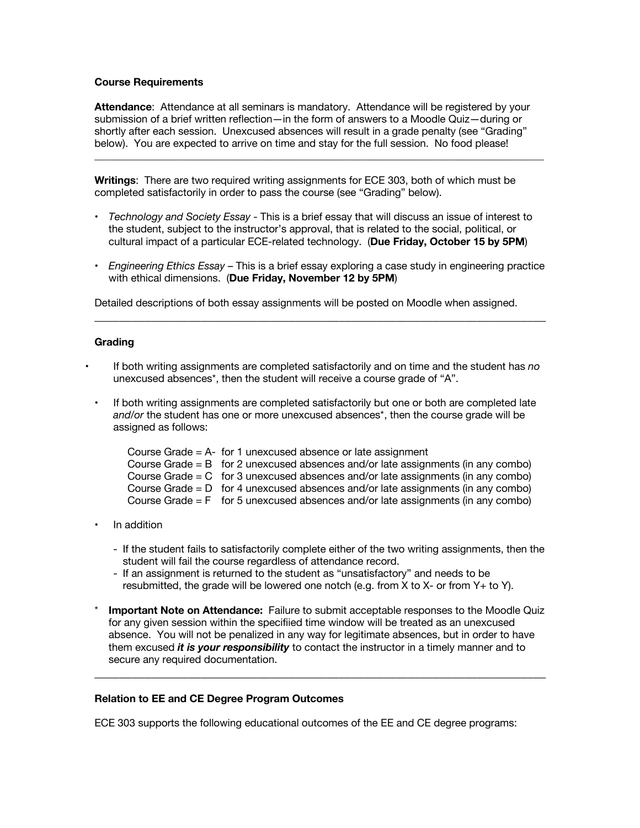#### **Course Requirements**

**Attendance**: Attendance at all seminars is mandatory. Attendance will be registered by your submission of a brief written reflection—in the form of answers to a Moodle Quiz—during or shortly after each session. Unexcused absences will result in a grade penalty (see "Grading" below). You are expected to arrive on time and stay for the full session. No food please!

 $\_$  , and the state of the state of the state of the state of the state of the state of the state of the state of the state of the state of the state of the state of the state of the state of the state of the state of the

**Writings**: There are two required writing assignments for ECE 303, both of which must be completed satisfactorily in order to pass the course (see "Grading" below).

- *Technology and Society Essay* This is a brief essay that will discuss an issue of interest to the student, subject to the instructor's approval, that is related to the social, political, or cultural impact of a particular ECE-related technology. (**Due Friday, October 15 by 5PM**)
- *Engineering Ethics Essay* This is a brief essay exploring a case study in engineering practice with ethical dimensions. (**Due Friday, November 12 by 5PM**)

\_\_\_\_\_\_\_\_\_\_\_\_\_\_\_\_\_\_\_\_\_\_\_\_\_\_\_\_\_\_\_\_\_\_\_\_\_\_\_\_\_\_\_\_\_\_\_\_\_\_\_\_\_\_\_\_\_\_\_\_\_\_\_\_\_\_\_\_\_\_\_\_

Detailed descriptions of both essay assignments will be posted on Moodle when assigned.

#### **Grading**

- If both writing assignments are completed satisfactorily and on time and the student has *no* unexcused absences\*, then the student will receive a course grade of "A".
- If both writing assignments are completed satisfactorily but one or both are completed late *and/or* the student has one or more unexcused absences\*, then the course grade will be assigned as follows:

```
Course Grade = A- for 1 unexcused absence or late assignment
Course Grade = B for 2 unexcused absences and/or late assignments (in any combo)
Course Grade = C for 3 unexcused absences and/or late assignments (in any combo)
Course Grade = D for 4 unexcused absences and/or late assignments (in any combo)
Course Grade = F for 5 unexcused absences and/or late assignments (in any combo)
```
- In addition
	- If the student fails to satisfactorily complete either of the two writing assignments, then the student will fail the course regardless of attendance record.
	- If an assignment is returned to the student as "unsatisfactory" and needs to be resubmitted, the grade will be lowered one notch (e.g. from X to X- or from Y+ to Y).
- **Important Note on Attendance:** Failure to submit acceptable responses to the Moodle Quiz for any given session within the specifiied time window will be treated as an unexcused absence. You will not be penalized in any way for legitimate absences, but in order to have them excused *it is your responsibility* to contact the instructor in a timely manner and to secure any required documentation.

\_\_\_\_\_\_\_\_\_\_\_\_\_\_\_\_\_\_\_\_\_\_\_\_\_\_\_\_\_\_\_\_\_\_\_\_\_\_\_\_\_\_\_\_\_\_\_\_\_\_\_\_\_\_\_\_\_\_\_\_\_\_\_\_\_\_\_\_\_\_\_\_

#### **Relation to EE and CE Degree Program Outcomes**

ECE 303 supports the following educational outcomes of the EE and CE degree programs: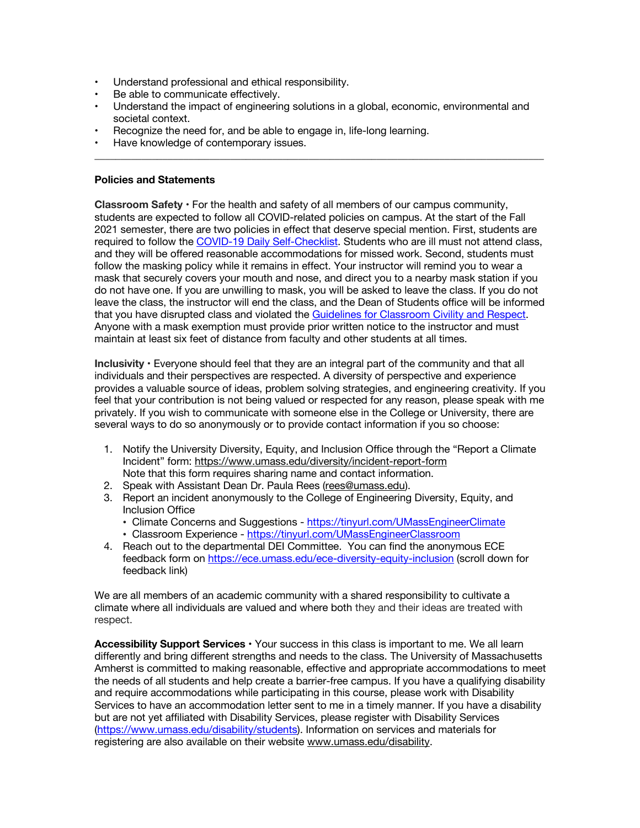- Understand professional and ethical responsibility.
- Be able to communicate effectively.
- Understand the impact of engineering solutions in a global, economic, environmental and societal context.

 $\_$  , and the state of the state of the state of the state of the state of the state of the state of the state of the state of the state of the state of the state of the state of the state of the state of the state of the

- Recognize the need for, and be able to engage in, life-long learning.
- Have knowledge of contemporary issues.

#### **Policies and Statements**

**Classroom Safety •** For the health and safety of all members of our campus community, students are expected to follow all COVID-related policies on campus. At the start of the Fall 2021 semester, there are two policies in effect that deserve special mention. First, students are required to follow the COVID-19 Daily Self-Checklist. Students who are ill must not attend class, and they will be offered reasonable accommodations for missed work. Second, students must follow the masking policy while it remains in effect. Your instructor will remind you to wear a mask that securely covers your mouth and nose, and direct you to a nearby mask station if you do not have one. If you are unwilling to mask, you will be asked to leave the class. If you do not leave the class, the instructor will end the class, and the Dean of Students office will be informed that you have disrupted class and violated the Guidelines for Classroom Civility and Respect. Anyone with a mask exemption must provide prior written notice to the instructor and must maintain at least six feet of distance from faculty and other students at all times.

**Inclusivity •** Everyone should feel that they are an integral part of the community and that all individuals and their perspectives are respected. A diversity of perspective and experience provides a valuable source of ideas, problem solving strategies, and engineering creativity. If you feel that your contribution is not being valued or respected for any reason, please speak with me privately. If you wish to communicate with someone else in the College or University, there are several ways to do so anonymously or to provide contact information if you so choose:

- 1. Notify the University Diversity, Equity, and Inclusion Office through the "Report a Climate Incident" form: https://www.umass.edu/diversity/incident-report-form Note that this form requires sharing name and contact information.
- 2. Speak with Assistant Dean Dr. Paula Rees (rees@umass.edu).
- 3. Report an incident anonymously to the College of Engineering Diversity, Equity, and Inclusion Office
	- Climate Concerns and Suggestions https://tinyurl.com/UMassEngineerClimate
	- Classroom Experience https://tinyurl.com/UMassEngineerClassroom
- 4. Reach out to the departmental DEI Committee. You can find the anonymous ECE feedback form on https://ece.umass.edu/ece-diversity-equity-inclusion (scroll down for feedback link)

We are all members of an academic community with a shared responsibility to cultivate a climate where all individuals are valued and where both they and their ideas are treated with respect.

**Accessibility Support Services •** Your success in this class is important to me. We all learn differently and bring different strengths and needs to the class. The University of Massachusetts Amherst is committed to making reasonable, effective and appropriate accommodations to meet the needs of all students and help create a barrier-free campus. If you have a qualifying disability and require accommodations while participating in this course, please work with Disability Services to have an accommodation letter sent to me in a timely manner. If you have a disability but are not yet affiliated with Disability Services, please register with Disability Services (https://www.umass.edu/disability/students). Information on services and materials for registering are also available on their website www.umass.edu/disability.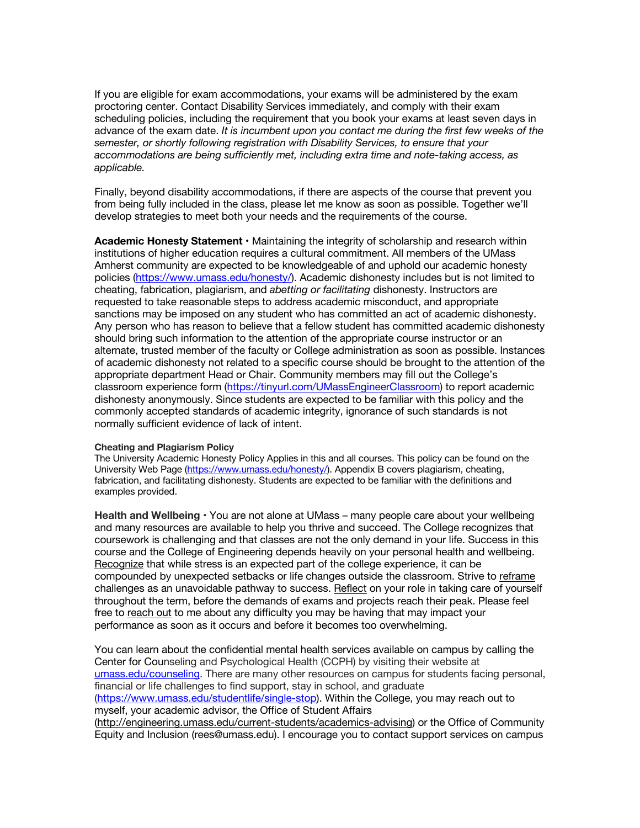If you are eligible for exam accommodations, your exams will be administered by the exam proctoring center. Contact Disability Services immediately, and comply with their exam scheduling policies, including the requirement that you book your exams at least seven days in advance of the exam date. *It is incumbent upon you contact me during the first few weeks of the semester, or shortly following registration with Disability Services, to ensure that your accommodations are being sufficiently met, including extra time and note-taking access, as applicable.*

Finally, beyond disability accommodations, if there are aspects of the course that prevent you from being fully included in the class, please let me know as soon as possible. Together we'll develop strategies to meet both your needs and the requirements of the course.

**Academic Honesty Statement •** Maintaining the integrity of scholarship and research within institutions of higher education requires a cultural commitment. All members of the UMass Amherst community are expected to be knowledgeable of and uphold our academic honesty policies (https://www.umass.edu/honesty/). Academic dishonesty includes but is not limited to cheating, fabrication, plagiarism, and *abetting or facilitating* dishonesty. Instructors are requested to take reasonable steps to address academic misconduct, and appropriate sanctions may be imposed on any student who has committed an act of academic dishonesty. Any person who has reason to believe that a fellow student has committed academic dishonesty should bring such information to the attention of the appropriate course instructor or an alternate, trusted member of the faculty or College administration as soon as possible. Instances of academic dishonesty not related to a specific course should be brought to the attention of the appropriate department Head or Chair. Community members may fill out the College's classroom experience form (https://tinyurl.com/UMassEngineerClassroom) to report academic dishonesty anonymously. Since students are expected to be familiar with this policy and the commonly accepted standards of academic integrity, ignorance of such standards is not normally sufficient evidence of lack of intent.

#### **Cheating and Plagiarism Policy**

The University Academic Honesty Policy Applies in this and all courses. This policy can be found on the University Web Page (https://www.umass.edu/honesty/). Appendix B covers plagiarism, cheating, fabrication, and facilitating dishonesty. Students are expected to be familiar with the definitions and examples provided.

**Health and Wellbeing •** You are not alone at UMass – many people care about your wellbeing and many resources are available to help you thrive and succeed. The College recognizes that coursework is challenging and that classes are not the only demand in your life. Success in this course and the College of Engineering depends heavily on your personal health and wellbeing. Recognize that while stress is an expected part of the college experience, it can be compounded by unexpected setbacks or life changes outside the classroom. Strive to reframe challenges as an unavoidable pathway to success. Reflect on your role in taking care of yourself throughout the term, before the demands of exams and projects reach their peak. Please feel free to reach out to me about any difficulty you may be having that may impact your performance as soon as it occurs and before it becomes too overwhelming.

You can learn about the confidential mental health services available on campus by calling the Center for Counseling and Psychological Health (CCPH) by visiting their website at umass.edu/counseling. There are many other resources on campus for students facing personal, financial or life challenges to find support, stay in school, and graduate (https://www.umass.edu/studentlife/single-stop). Within the College, you may reach out to myself, your academic advisor, the Office of Student Affairs (http://engineering.umass.edu/current-students/academics-advising) or the Office of Community Equity and Inclusion (rees@umass.edu). I encourage you to contact support services on campus